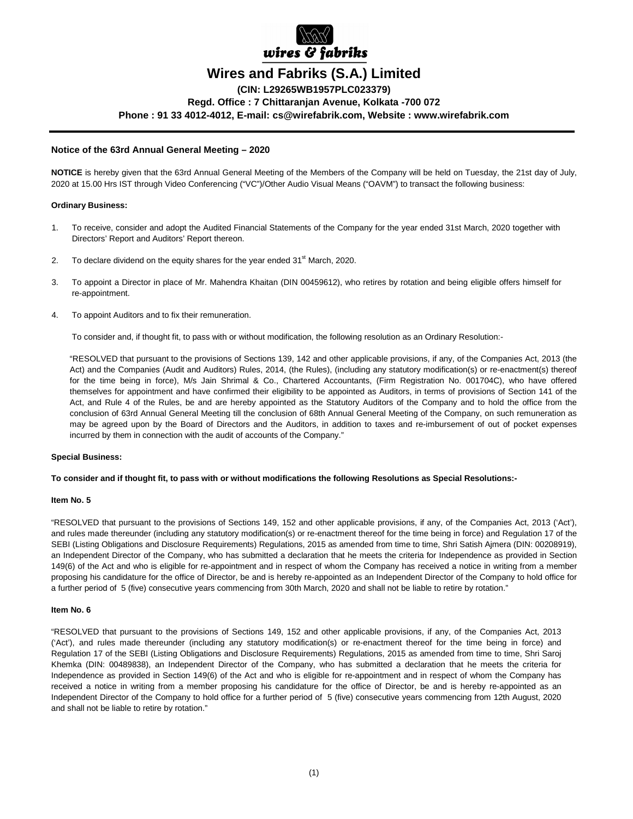

# **Wires and Fabriks (S.A.) Limited**

**(CIN: L29265WB1957PLC023379) Regd. Office : 7 Chittaranjan Avenue, Kolkata -700 072 Phone : 91 33 4012-4012, E-mail: cs@wirefabrik.com, Website : www.wirefabrik.com**

# **Notice of the 63rd Annual General Meeting – 2020**

**NOTICE** is hereby given that the 63rd Annual General Meeting of the Members of the Company will be held on Tuesday, the 21st day of July, 2020 at 15.00 Hrs IST through Video Conferencing ("VC")/Other Audio Visual Means ("OAVM") to transact the following business:

# **Ordinary Business:**

- 1. To receive, consider and adopt the Audited Financial Statements of the Company for the year ended 31st March, 2020 together with Directors' Report and Auditors' Report thereon.
- 2. To declare dividend on the equity shares for the year ended  $31<sup>st</sup>$  March, 2020.
- 3. To appoint a Director in place of Mr. Mahendra Khaitan (DIN 00459612), who retires by rotation and being eligible offers himself for re-appointment.
- 4. To appoint Auditors and to fix their remuneration.

To consider and, if thought fit, to pass with or without modification, the following resolution as an Ordinary Resolution:-

"RESOLVED that pursuant to the provisions of Sections 139, 142 and other applicable provisions, if any, of the Companies Act, 2013 (the Act) and the Companies (Audit and Auditors) Rules, 2014, (the Rules), (including any statutory modification(s) or re-enactment(s) thereof for the time being in force), M/s Jain Shrimal & Co., Chartered Accountants, (Firm Registration No. 001704C), who have offered themselves for appointment and have confirmed their eligibility to be appointed as Auditors, in terms of provisions of Section 141 of the Act, and Rule 4 of the Rules, be and are hereby appointed as the Statutory Auditors of the Company and to hold the office from the conclusion of 63rd Annual General Meeting till the conclusion of 68th Annual General Meeting of the Company, on such remuneration as may be agreed upon by the Board of Directors and the Auditors, in addition to taxes and re-imbursement of out of pocket expenses incurred by them in connection with the audit of accounts of the Company."

## **Special Business:**

## **To consider and if thought fit, to pass with or without modifications the following Resolutions as Special Resolutions:-**

# **Item No. 5**

"RESOLVED that pursuant to the provisions of Sections 149, 152 and other applicable provisions, if any, of the Companies Act, 2013 ('Act'), and rules made thereunder (including any statutory modification(s) or re-enactment thereof for the time being in force) and Regulation 17 of the SEBI (Listing Obligations and Disclosure Requirements) Regulations, 2015 as amended from time to time, Shri Satish Ajmera (DIN: 00208919), an Independent Director of the Company, who has submitted a declaration that he meets the criteria for Independence as provided in Section 149(6) of the Act and who is eligible for re-appointment and in respect of whom the Company has received a notice in writing from a member proposing his candidature for the office of Director, be and is hereby re-appointed as an Independent Director of the Company to hold office for a further period of 5 (five) consecutive years commencing from 30th March, 2020 and shall not be liable to retire by rotation."

## **Item No. 6**

"RESOLVED that pursuant to the provisions of Sections 149, 152 and other applicable provisions, if any, of the Companies Act, 2013 ('Act'), and rules made thereunder (including any statutory modification(s) or re-enactment thereof for the time being in force) and Regulation 17 of the SEBI (Listing Obligations and Disclosure Requirements) Regulations, 2015 as amended from time to time, Shri Saroj Khemka (DIN: 00489838), an Independent Director of the Company, who has submitted a declaration that he meets the criteria for Independence as provided in Section 149(6) of the Act and who is eligible for re-appointment and in respect of whom the Company has received a notice in writing from a member proposing his candidature for the office of Director, be and is hereby re-appointed as an Independent Director of the Company to hold office for a further period of 5 (five) consecutive years commencing from 12th August, 2020 and shall not be liable to retire by rotation."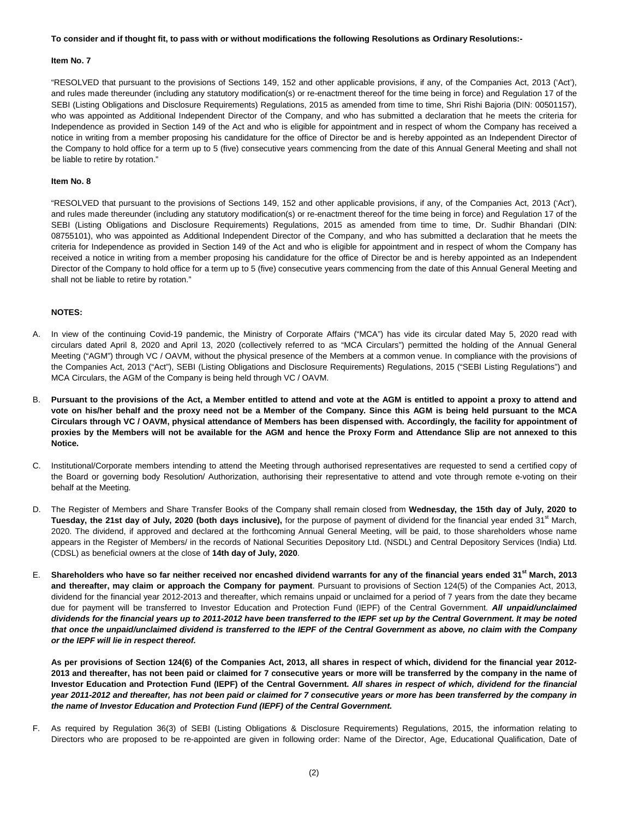#### **To consider and if thought fit, to pass with or without modifications the following Resolutions as Ordinary Resolutions:-**

#### **Item No. 7**

"RESOLVED that pursuant to the provisions of Sections 149, 152 and other applicable provisions, if any, of the Companies Act, 2013 ('Act'), and rules made thereunder (including any statutory modification(s) or re-enactment thereof for the time being in force) and Regulation 17 of the SEBI (Listing Obligations and Disclosure Requirements) Regulations, 2015 as amended from time to time, Shri Rishi Bajoria (DIN: 00501157), who was appointed as Additional Independent Director of the Company, and who has submitted a declaration that he meets the criteria for Independence as provided in Section 149 of the Act and who is eligible for appointment and in respect of whom the Company has received a notice in writing from a member proposing his candidature for the office of Director be and is hereby appointed as an Independent Director of the Company to hold office for a term up to 5 (five) consecutive years commencing from the date of this Annual General Meeting and shall not be liable to retire by rotation."

### **Item No. 8**

"RESOLVED that pursuant to the provisions of Sections 149, 152 and other applicable provisions, if any, of the Companies Act, 2013 ('Act'), and rules made thereunder (including any statutory modification(s) or re-enactment thereof for the time being in force) and Regulation 17 of the SEBI (Listing Obligations and Disclosure Requirements) Regulations, 2015 as amended from time to time, Dr. Sudhir Bhandari (DIN: 08755101), who was appointed as Additional Independent Director of the Company, and who has submitted a declaration that he meets the criteria for Independence as provided in Section 149 of the Act and who is eligible for appointment and in respect of whom the Company has received a notice in writing from a member proposing his candidature for the office of Director be and is hereby appointed as an Independent Director of the Company to hold office for a term up to 5 (five) consecutive years commencing from the date of this Annual General Meeting and shall not be liable to retire by rotation."

# **NOTES:**

- A. In view of the continuing Covid-19 pandemic, the Ministry of Corporate Affairs ("MCA") has vide its circular dated May 5, 2020 read with circulars dated April 8, 2020 and April 13, 2020 (collectively referred to as "MCA Circulars") permitted the holding of the Annual General Meeting ("AGM") through VC / OAVM, without the physical presence of the Members at a common venue. In compliance with the provisions of the Companies Act, 2013 ("Act"), SEBI (Listing Obligations and Disclosure Requirements) Regulations, 2015 ("SEBI Listing Regulations") and MCA Circulars, the AGM of the Company is being held through VC / OAVM.
- B. **Pursuant to the provisions of the Act, a Member entitled to attend and vote at the AGM is entitled to appoint a proxy to attend and vote on his/her behalf and the proxy need not be a Member of the Company. Since this AGM is being held pursuant to the MCA Circulars through VC / OAVM, physical attendance of Members has been dispensed with. Accordingly, the facility for appointment of proxies by the Members will not be available for the AGM and hence the Proxy Form and Attendance Slip are not annexed to this Notice.**
- C. Institutional/Corporate members intending to attend the Meeting through authorised representatives are requested to send a certified copy of the Board or governing body Resolution/ Authorization, authorising their representative to attend and vote through remote e-voting on their behalf at the Meeting.
- D. The Register of Members and Share Transfer Books of the Company shall remain closed from **Wednesday, the 15th day of July, 2020 to**  Tuesday, the 21st day of July, 2020 (both days inclusive), for the purpose of payment of dividend for the financial year ended 31<sup>st</sup> March, 2020. The dividend, if approved and declared at the forthcoming Annual General Meeting, will be paid, to those shareholders whose name appears in the Register of Members/ in the records of National Securities Depository Ltd. (NSDL) and Central Depository Services (India) Ltd. (CDSL) as beneficial owners at the close of **14th day of July, 2020**.
- E. **Shareholders who have so far neither received nor encashed dividend warrants for any of the financial years ended 31st March, 2013 and thereafter, may claim or approach the Company for payment**. Pursuant to provisions of Section 124(5) of the Companies Act, 2013, dividend for the financial year 2012-2013 and thereafter, which remains unpaid or unclaimed for a period of 7 years from the date they became due for payment will be transferred to Investor Education and Protection Fund (IEPF) of the Central Government. **All unpaid/unclaimed dividends for the financial years up to 2011-2012 have been transferred to the IEPF set up by the Central Government. It may be noted that once the unpaid/unclaimed dividend is transferred to the IEPF of the Central Government as above, no claim with the Company or the IEPF will lie in respect thereof.**

**As per provisions of Section 124(6) of the Companies Act, 2013, all shares in respect of which, dividend for the financial year 2012- 2013 and thereafter, has not been paid or claimed for 7 consecutive years or more will be transferred by the company in the name of Investor Education and Protection Fund (IEPF) of the Central Government. All shares in respect of which, dividend for the financial year 2011-2012 and thereafter, has not been paid or claimed for 7 consecutive years or more has been transferred by the company in the name of Investor Education and Protection Fund (IEPF) of the Central Government.**

As required by Regulation 36(3) of SEBI (Listing Obligations & Disclosure Requirements) Regulations, 2015, the information relating to Directors who are proposed to be re-appointed are given in following order: Name of the Director, Age, Educational Qualification, Date of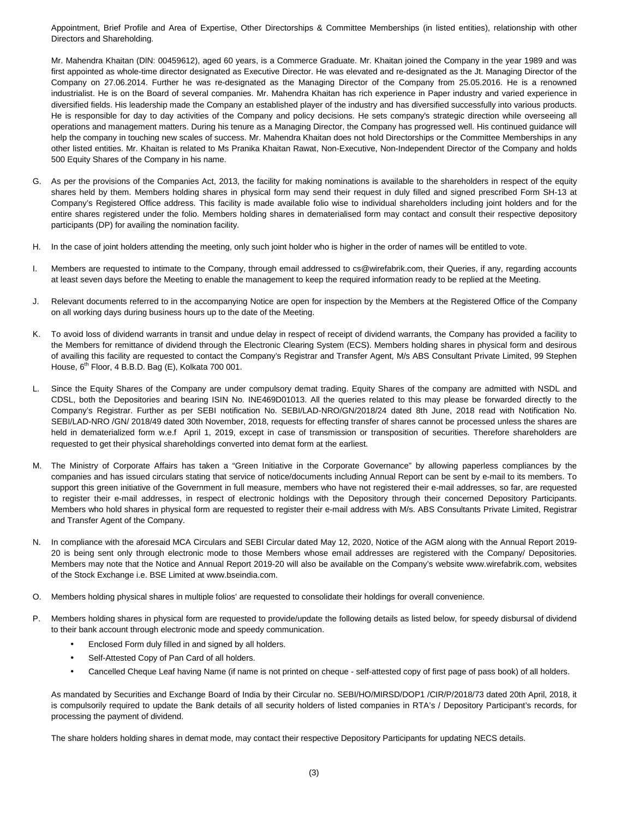Appointment, Brief Profile and Area of Expertise, Other Directorships & Committee Memberships (in listed entities), relationship with other Directors and Shareholding.

Mr. Mahendra Khaitan (DlN: 00459612), aged 60 years, is a Commerce Graduate. Mr. Khaitan joined the Company in the year 1989 and was first appointed as whole-time director designated as Executive Director. He was elevated and re-designated as the Jt. Managing Director of the Company on 27.06.2014. Further he was re-designated as the Managing Director of the Company from 25.05.2016. He is a renowned industrialist. He is on the Board of several companies. Mr. Mahendra Khaitan has rich experience in Paper industry and varied experience in diversified fields. His leadership made the Company an established player of the industry and has diversified successfully into various products. He is responsible for day to day activities of the Company and policy decisions. He sets company's strategic direction while overseeing all operations and management matters. During his tenure as a Managing Director, the Company has progressed well. His continued guidance will help the company in touching new scales of success. Mr. Mahendra Khaitan does not hold Directorships or the Committee Memberships in any other listed entities. Mr. Khaitan is related to Ms Pranika Khaitan Rawat, Non-Executive, Non-Independent Director of the Company and holds 500 Equity Shares of the Company in his name.

- G. As per the provisions of the Companies Act, 2013, the facility for making nominations is available to the shareholders in respect of the equity shares held by them. Members holding shares in physical form may send their request in duly filled and signed prescribed Form SH-13 at Company's Registered Office address. This facility is made available folio wise to individual shareholders including joint holders and for the entire shares registered under the folio. Members holding shares in dematerialised form may contact and consult their respective depository participants (DP) for availing the nomination facility.
- H. In the case of joint holders attending the meeting, only such joint holder who is higher in the order of names will be entitled to vote.
- I. Members are requested to intimate to the Company, through email addressed to cs@wirefabrik.com, their Queries, if any, regarding accounts at least seven days before the Meeting to enable the management to keep the required information ready to be replied at the Meeting.
- J. Relevant documents referred to in the accompanying Notice are open for inspection by the Members at the Registered Office of the Company on all working days during business hours up to the date of the Meeting.
- K. To avoid loss of dividend warrants in transit and undue delay in respect of receipt of dividend warrants, the Company has provided a facility to the Members for remittance of dividend through the Electronic Clearing System (ECS). Members holding shares in physical form and desirous of availing this facility are requested to contact the Company's Registrar and Transfer Agent, M/s ABS Consultant Private Limited, 99 Stephen House, 6<sup>th</sup> Floor, 4 B.B.D. Bag (E), Kolkata 700 001.
- L. Since the Equity Shares of the Company are under compulsory demat trading. Equity Shares of the company are admitted with NSDL and CDSL, both the Depositories and bearing ISIN No. INE469D01013. All the queries related to this may please be forwarded directly to the Company's Registrar. Further as per SEBI notification No. SEBI/LAD-NRO/GN/2018/24 dated 8th June, 2018 read with Notification No. SEBI/LAD-NRO /GN/ 2018/49 dated 30th November, 2018, requests for effecting transfer of shares cannot be processed unless the shares are held in dematerialized form w.e.f April 1, 2019, except in case of transmission or transposition of securities. Therefore shareholders are requested to get their physical shareholdings converted into demat form at the earliest.
- M. The Ministry of Corporate Affairs has taken a "Green Initiative in the Corporate Governance" by allowing paperless compliances by the companies and has issued circulars stating that service of notice/documents including Annual Report can be sent by e-mail to its members. To support this green initiative of the Government in full measure, members who have not registered their e-mail addresses, so far, are requested to register their e-mail addresses, in respect of electronic holdings with the Depository through their concerned Depository Participants. Members who hold shares in physical form are requested to register their e-mail address with M/s. ABS Consultants Private Limited, Registrar and Transfer Agent of the Company.
- N. In compliance with the aforesaid MCA Circulars and SEBI Circular dated May 12, 2020, Notice of the AGM along with the Annual Report 2019- 20 is being sent only through electronic mode to those Members whose email addresses are registered with the Company/ Depositories. Members may note that the Notice and Annual Report 2019-20 will also be available on the Company's website www.wirefabrik.com, websites of the Stock Exchange i.e. BSE Limited at www.bseindia.com.
- O. Members holding physical shares in multiple folios' are requested to consolidate their holdings for overall convenience.
- P. Members holding shares in physical form are requested to provide/update the following details as listed below, for speedy disbursal of dividend to their bank account through electronic mode and speedy communication.
	- Enclosed Form duly filled in and signed by all holders.
	- Self-Attested Copy of Pan Card of all holders.
	- Cancelled Cheque Leaf having Name (if name is not printed on cheque self-attested copy of first page of pass book) of all holders.

As mandated by Securities and Exchange Board of India by their Circular no. SEBI/HO/MIRSD/DOP1 /CIR/P/2018/73 dated 20th April, 2018, it is compulsorily required to update the Bank details of all security holders of listed companies in RTA's / Depository Participant's records, for processing the payment of dividend.

The share holders holding shares in demat mode, may contact their respective Depository Participants for updating NECS details.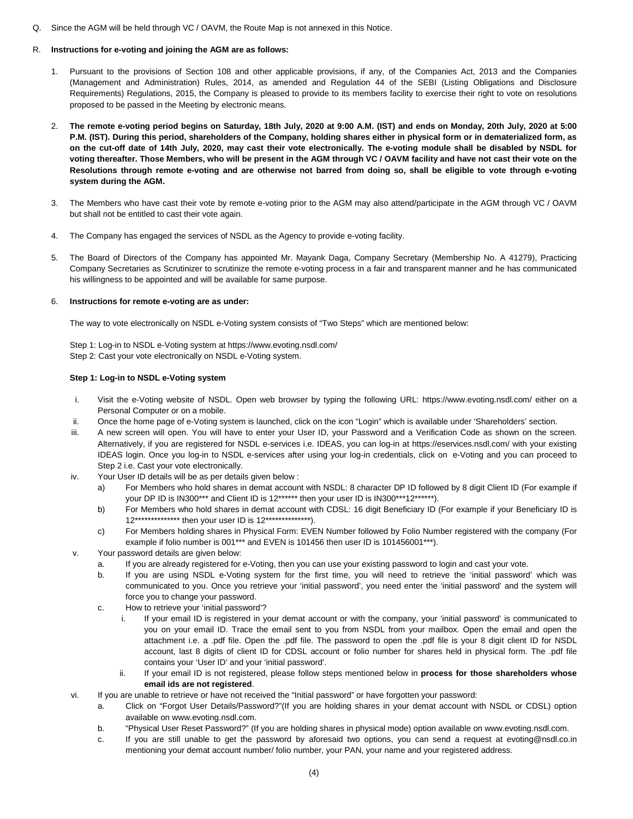Q. Since the AGM will be held through VC / OAVM, the Route Map is not annexed in this Notice.

# R. **Instructions for e-voting and joining the AGM are as follows:**

- 1. Pursuant to the provisions of Section 108 and other applicable provisions, if any, of the Companies Act, 2013 and the Companies (Management and Administration) Rules, 2014, as amended and Regulation 44 of the SEBI (Listing Obligations and Disclosure Requirements) Regulations, 2015, the Company is pleased to provide to its members facility to exercise their right to vote on resolutions proposed to be passed in the Meeting by electronic means.
- 2. **The remote e-voting period begins on Saturday, 18th July, 2020 at 9:00 A.M. (IST) and ends on Monday, 20th July, 2020 at 5:00 P.M. (IST). During this period, shareholders of the Company, holding shares either in physical form or in dematerialized form, as on the cut-off date of 14th July, 2020, may cast their vote electronically. The e-voting module shall be disabled by NSDL for voting thereafter. Those Members, who will be present in the AGM through VC / OAVM facility and have not cast their vote on the Resolutions through remote e-voting and are otherwise not barred from doing so, shall be eligible to vote through e-voting system during the AGM.**
- 3. The Members who have cast their vote by remote e-voting prior to the AGM may also attend/participate in the AGM through VC / OAVM but shall not be entitled to cast their vote again.
- 4. The Company has engaged the services of NSDL as the Agency to provide e-voting facility.
- 5. The Board of Directors of the Company has appointed Mr. Mayank Daga, Company Secretary (Membership No. A 41279), Practicing Company Secretaries as Scrutinizer to scrutinize the remote e-voting process in a fair and transparent manner and he has communicated his willingness to be appointed and will be available for same purpose.

# 6. **Instructions for remote e-voting are as under:**

The way to vote electronically on NSDL e-Voting system consists of "Two Steps" which are mentioned below:

 Step 1: Log-in to NSDL e-Voting system at https://www.evoting.nsdl.com/ Step 2: Cast your vote electronically on NSDL e-Voting system.

# **Step 1: Log-in to NSDL e-Voting system**

- i. Visit the e-Voting website of NSDL. Open web browser by typing the following URL: https://www.evoting.nsdl.com/ either on a Personal Computer or on a mobile.
- ii. Once the home page of e-Voting system is launched, click on the icon "Login" which is available under 'Shareholders' section.
- iii. A new screen will open. You will have to enter your User ID, your Password and a Verification Code as shown on the screen. Alternatively, if you are registered for NSDL e-services i.e. IDEAS, you can log-in at https://eservices.nsdl.com/ with your existing IDEAS login. Once you log-in to NSDL e-services after using your log-in credentials, click on e-Voting and you can proceed to Step 2 i.e. Cast your vote electronically.
- iv. Your User ID details will be as per details given below :
	- a) For Members who hold shares in demat account with NSDL: 8 character DP ID followed by 8 digit Client ID (For example if your DP ID is IN300\*\*\* and Client ID is 12\*\*\*\*\*\* then your user ID is IN300\*\*\*12\*\*\*\*\*\*).
	- b) For Members who hold shares in demat account with CDSL: 16 digit Beneficiary ID (For example if your Beneficiary ID is 12\*\*\*\*\*\*\*\*\*\*\*\*\*\* then your user ID is 12\*\*\*\*\*\*\*\*\*\*\*\*\*\*).
	- c) For Members holding shares in Physical Form: EVEN Number followed by Folio Number registered with the company (For example if folio number is 001\*\*\* and EVEN is 101456 then user ID is 101456001\*\*\*).
- v. Your password details are given below:
	- a. If you are already registered for e-Voting, then you can use your existing password to login and cast your vote.
	- b. If you are using NSDL e-Voting system for the first time, you will need to retrieve the 'initial password' which was communicated to you. Once you retrieve your 'initial password', you need enter the 'initial password' and the system will force you to change your password.
	- c. How to retrieve your 'initial password'?
		- i. If your email ID is registered in your demat account or with the company, your 'initial password' is communicated to you on your email ID. Trace the email sent to you from NSDL from your mailbox. Open the email and open the attachment i.e. a .pdf file. Open the .pdf file. The password to open the .pdf file is your 8 digit client ID for NSDL account, last 8 digits of client ID for CDSL account or folio number for shares held in physical form. The .pdf file contains your 'User ID' and your 'initial password'.
		- ii. If your email ID is not registered, please follow steps mentioned below in **process for those shareholders whose email ids are not registered**.
- vi. If you are unable to retrieve or have not received the "Initial password" or have forgotten your password:
	- a. Click on "Forgot User Details/Password?"(If you are holding shares in your demat account with NSDL or CDSL) option available on www.evoting.nsdl.com.
	- b. "Physical User Reset Password?" (If you are holding shares in physical mode) option available on www.evoting.nsdl.com.
	- c. If you are still unable to get the password by aforesaid two options, you can send a request at evoting@nsdl.co.in mentioning your demat account number/ folio number, your PAN, your name and your registered address.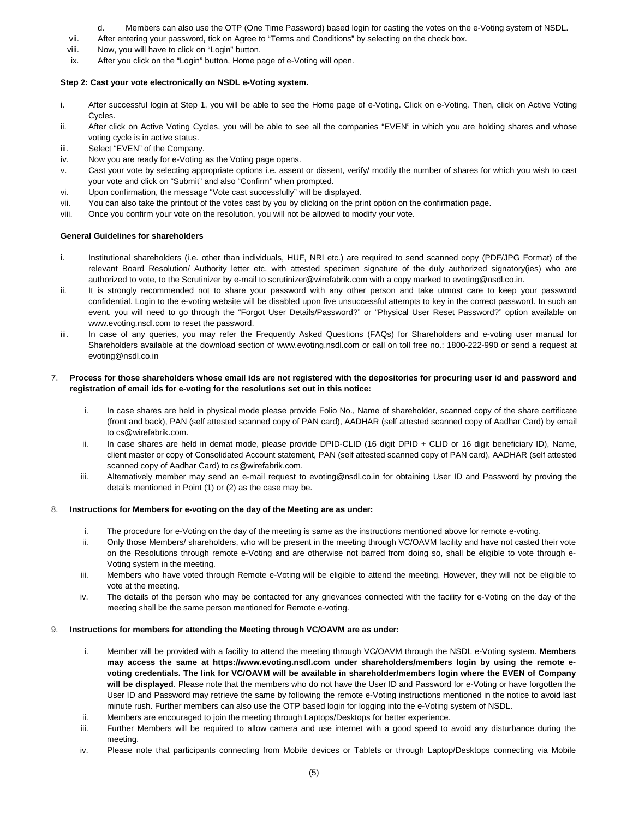- d. Members can also use the OTP (One Time Password) based login for casting the votes on the e-Voting system of NSDL.
- vii. After entering your password, tick on Agree to "Terms and Conditions" by selecting on the check box.
- viii. Now, you will have to click on "Login" button.
- ix. After you click on the "Login" button, Home page of e-Voting will open.

# **Step 2: Cast your vote electronically on NSDL e-Voting system.**

- i. After successful login at Step 1, you will be able to see the Home page of e-Voting. Click on e-Voting. Then, click on Active Voting Cycles.
- ii. After click on Active Voting Cycles, you will be able to see all the companies "EVEN" in which you are holding shares and whose voting cycle is in active status.
- iii. Select "EVEN" of the Company.
- iv. Now you are ready for e-Voting as the Voting page opens.
- v. Cast your vote by selecting appropriate options i.e. assent or dissent, verify/ modify the number of shares for which you wish to cast your vote and click on "Submit" and also "Confirm" when prompted.
- vi. Upon confirmation, the message "Vote cast successfully" will be displayed.
- vii. You can also take the printout of the votes cast by you by clicking on the print option on the confirmation page.
- viii. Once you confirm your vote on the resolution, you will not be allowed to modify your vote.

# **General Guidelines for shareholders**

- i. Institutional shareholders (i.e. other than individuals, HUF, NRI etc.) are required to send scanned copy (PDF/JPG Format) of the relevant Board Resolution/ Authority letter etc. with attested specimen signature of the duly authorized signatory(ies) who are authorized to vote, to the Scrutinizer by e-mail to scrutinizer@wirefabrik.com with a copy marked to evoting@nsdl.co.in.
- ii. It is strongly recommended not to share your password with any other person and take utmost care to keep your password confidential. Login to the e-voting website will be disabled upon five unsuccessful attempts to key in the correct password. In such an event, you will need to go through the "Forgot User Details/Password?" or "Physical User Reset Password?" option available on www.evoting.nsdl.com to reset the password.
- iii. In case of any queries, you may refer the Frequently Asked Questions (FAQs) for Shareholders and e-voting user manual for Shareholders available at the download section of www.evoting.nsdl.com or call on toll free no.: 1800-222-990 or send a request at evoting@nsdl.co.in

# 7. **Process for those shareholders whose email ids are not registered with the depositories for procuring user id and password and registration of email ids for e-voting for the resolutions set out in this notice:**

- i. In case shares are held in physical mode please provide Folio No., Name of shareholder, scanned copy of the share certificate (front and back), PAN (self attested scanned copy of PAN card), AADHAR (self attested scanned copy of Aadhar Card) by email to cs@wirefabrik.com.
- ii. In case shares are held in demat mode, please provide DPID-CLID (16 digit DPID + CLID or 16 digit beneficiary ID), Name, client master or copy of Consolidated Account statement, PAN (self attested scanned copy of PAN card), AADHAR (self attested scanned copy of Aadhar Card) to cs@wirefabrik.com.
- iii. Alternatively member may send an e-mail request to evoting@nsdl.co.in for obtaining User ID and Password by proving the details mentioned in Point (1) or (2) as the case may be.

## 8. **Instructions for Members for e-voting on the day of the Meeting are as under:**

- i. The procedure for e-Voting on the day of the meeting is same as the instructions mentioned above for remote e-voting.
- ii. Only those Members/ shareholders, who will be present in the meeting through VC/OAVM facility and have not casted their vote on the Resolutions through remote e-Voting and are otherwise not barred from doing so, shall be eligible to vote through e-Voting system in the meeting.
- iii. Members who have voted through Remote e-Voting will be eligible to attend the meeting. However, they will not be eligible to vote at the meeting.
- iv. The details of the person who may be contacted for any grievances connected with the facility for e-Voting on the day of the meeting shall be the same person mentioned for Remote e-voting.

## 9. **Instructions for members for attending the Meeting through VC/OAVM are as under:**

- i. Member will be provided with a facility to attend the meeting through VC/OAVM through the NSDL e-Voting system. **Members may access the same at https://www.evoting.nsdl.com under shareholders/members login by using the remote evoting credentials. The link for VC/OAVM will be available in shareholder/members login where the EVEN of Company will be displayed**. Please note that the members who do not have the User ID and Password for e-Voting or have forgotten the User ID and Password may retrieve the same by following the remote e-Voting instructions mentioned in the notice to avoid last minute rush. Further members can also use the OTP based login for logging into the e-Voting system of NSDL.
- ii. Members are encouraged to join the meeting through Laptops/Desktops for better experience.
- iii. Further Members will be required to allow camera and use internet with a good speed to avoid any disturbance during the meeting.
- iv. Please note that participants connecting from Mobile devices or Tablets or through Laptop/Desktops connecting via Mobile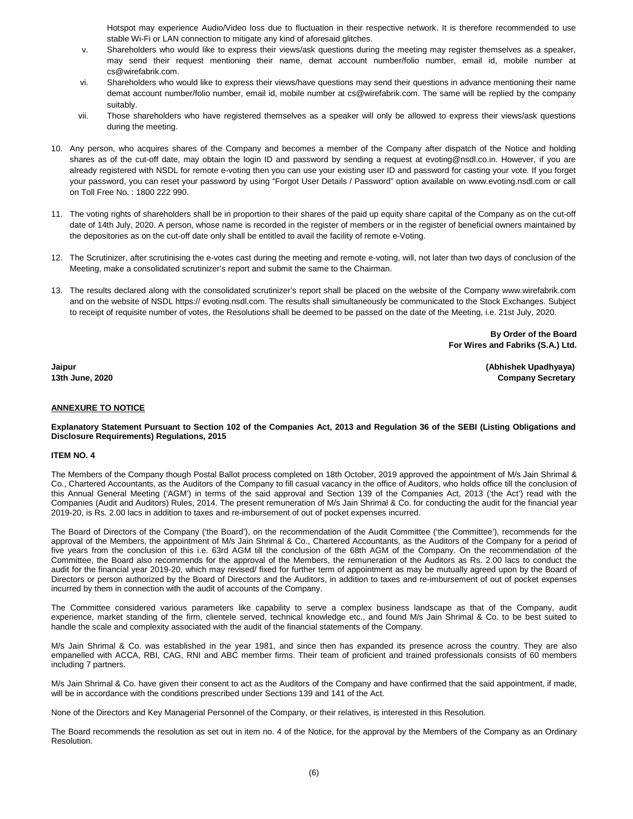Hotspot may experience Audio/Video loss due to fluctuation in their respective network. It is therefore recommended to use stable Wi-Fi or LAN connection to mitigate any kind of aforesaid glitches.

- v. Shareholders who would like to express their views/ask questions during the meeting may register themselves as a speaker, may send their request mentioning their name, demat account number/folio number, email id, mobile number at cs@wirefabrik.com.
- vi. Shareholders who would like to express their views/have questions may send their questions in advance mentioning their name demat account number/folio number, email id, mobile number at cs@wirefabrik.com. The same will be replied by the company suitably.
- vii. Those shareholders who have registered themselves as a speaker will only be allowed to express their views/ask questions during the meeting.
- 10. Any person, who acquires shares of the Company and becomes a member of the Company after dispatch of the Notice and holding shares as of the cut-off date, may obtain the login ID and password by sending a request at evoting@nsdl.co.in. However, if you are already registered with NSDL for remote e-voting then you can use your existing user ID and password for casting your vote. If you forget your password, you can reset your password by using "Forgot User Details / Password" option available on www.evoting.nsdl.com or call on Toll Free No. : 1800 222 990.
- 11. The voting rights of shareholders shall be in proportion to their shares of the paid up equity share capital of the Company as on the cut-off date of 14th July, 2020. A person, whose name is recorded in the register of members or in the register of beneficial owners maintained by the depositories as on the cut-off date only shall be entitled to avail the facility of remote e-Voting.
- 12. The Scrutinizer, after scrutinising the e-votes cast during the meeting and remote e-voting, will, not later than two days of conclusion of the Meeting, make a consolidated scrutinizer's report and submit the same to the Chairman.
- 13. The results declared along with the consolidated scrutinizer's report shall be placed on the website of the Company www.wirefabrik.com and on the website of NSDL https:// evoting.nsdl.com. The results shall simultaneously be communicated to the Stock Exchanges. Subject to receipt of requisite number of votes, the Resolutions shall be deemed to be passed on the date of the Meeting, i.e. 21st July, 2020.

**By Order of the Board For Wires and Fabriks (S.A.) Ltd.**

**Jaipur (Abhishek Upadhyaya) 13th June, 2020 Company Secretary**

# **ANNEXURE TO NOTICE**

**Explanatory Statement Pursuant to Section 102 of the Companies Act, 2013 and Regulation 36 of the SEBI (Listing Obligations and Disclosure Requirements) Regulations, 2015**

#### **ITEM NO. 4**

The Members of the Company though Postal Ballot process completed on 18th October, 2019 approved the appointment of M/s Jain Shrimal & Co., Chartered Accountants, as the Auditors of the Company to fill casual vacancy in the office of Auditors, who holds office till the conclusion of this Annual General Meeting ('AGM') in terms of the said approval and Section 139 of the Companies Act, 2013 ('the Act') read with the Companies (Audit and Auditors) Rules, 2014. The present remuneration of M/s Jain Shrimal & Co. for conducting the audit for the financial year 2019-20, is Rs. 2.00 lacs in addition to taxes and re-imbursement of out of pocket expenses incurred.

The Board of Directors of the Company ('the Board'), on the recommendation of the Audit Committee ('the Committee'), recommends for the approval of the Members, the appointment of M/s Jain Shrimal & Co., Chartered Accountants, as the Auditors of the Company for a period of five years from the conclusion of this i.e. 63rd AGM till the conclusion of the 68th AGM of the Company. On the recommendation of the Committee, the Board also recommends for the approval of the Members, the remuneration of the Auditors as Rs. 2.00 lacs to conduct the audit for the financial year 2019-20, which may revised/ fixed for further term of appointment as may be mutually agreed upon by the Board of Directors or person authorized by the Board of Directors and the Auditors, in addition to taxes and re-imbursement of out of pocket expenses incurred by them in connection with the audit of accounts of the Company.

The Committee considered various parameters like capability to serve a complex business landscape as that of the Company, audit experience, market standing of the firm, clientele served, technical knowledge etc., and found M/s Jain Shrimal & Co. to be best suited to handle the scale and complexity associated with the audit of the financial statements of the Company.

M/s Jain Shrimal & Co. was established in the year 1981, and since then has expanded its presence across the country. They are also empanelled with ACCA, RBI, CAG, RNI and ABC member firms. Their team of proficient and trained professionals consists of 60 members including 7 partners.

M/s Jain Shrimal & Co. have given their consent to act as the Auditors of the Company and have confirmed that the said appointment, if made, will be in accordance with the conditions prescribed under Sections 139 and 141 of the Act.

None of the Directors and Key Managerial Personnel of the Company, or their relatives, is interested in this Resolution.

The Board recommends the resolution as set out in item no. 4 of the Notice, for the approval by the Members of the Company as an Ordinary Resolution.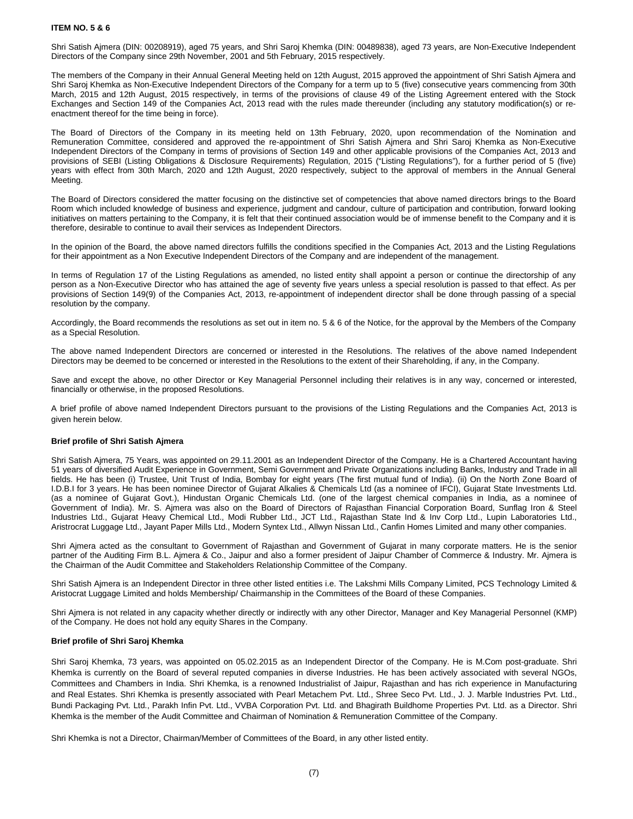## **ITEM NO. 5 & 6**

Shri Satish Ajmera (DIN: 00208919), aged 75 years, and Shri Saroj Khemka (DIN: 00489838), aged 73 years, are Non-Executive Independent Directors of the Company since 29th November, 2001 and 5th February, 2015 respectively.

The members of the Company in their Annual General Meeting held on 12th August, 2015 approved the appointment of Shri Satish Ajmera and Shri Saroj Khemka as Non-Executive Independent Directors of the Company for a term up to 5 (five) consecutive years commencing from 30th March, 2015 and 12th August, 2015 respectively, in terms of the provisions of clause 49 of the Listing Agreement entered with the Stock Exchanges and Section 149 of the Companies Act, 2013 read with the rules made thereunder (including any statutory modification(s) or reenactment thereof for the time being in force).

The Board of Directors of the Company in its meeting held on 13th February, 2020, upon recommendation of the Nomination and Remuneration Committee, considered and approved the re-appointment of Shri Satish Ajmera and Shri Saroj Khemka as Non-Executive Independent Directors of the Company in terms of provisions of Section 149 and other applicable provisions of the Companies Act, 2013 and provisions of SEBI (Listing Obligations & Disclosure Requirements) Regulation, 2015 ("Listing Regulations"), for a further period of 5 (five) years with effect from 30th March, 2020 and 12th August, 2020 respectively, subject to the approval of members in the Annual General Meeting.

The Board of Directors considered the matter focusing on the distinctive set of competencies that above named directors brings to the Board Room which included knowledge of business and experience, judgment and candour, culture of participation and contribution, forward looking initiatives on matters pertaining to the Company, it is felt that their continued association would be of immense benefit to the Company and it is therefore, desirable to continue to avail their services as Independent Directors.

In the opinion of the Board, the above named directors fulfills the conditions specified in the Companies Act, 2013 and the Listing Regulations for their appointment as a Non Executive Independent Directors of the Company and are independent of the management.

In terms of Regulation 17 of the Listing Regulations as amended, no listed entity shall appoint a person or continue the directorship of any person as a Non-Executive Director who has attained the age of seventy five years unless a special resolution is passed to that effect. As per provisions of Section 149(9) of the Companies Act, 2013, re-appointment of independent director shall be done through passing of a special resolution by the company.

Accordingly, the Board recommends the resolutions as set out in item no. 5 & 6 of the Notice, for the approval by the Members of the Company as a Special Resolution.

The above named Independent Directors are concerned or interested in the Resolutions. The relatives of the above named Independent Directors may be deemed to be concerned or interested in the Resolutions to the extent of their Shareholding, if any, in the Company.

Save and except the above, no other Director or Key Managerial Personnel including their relatives is in any way, concerned or interested, financially or otherwise, in the proposed Resolutions.

A brief profile of above named Independent Directors pursuant to the provisions of the Listing Regulations and the Companies Act, 2013 is given herein below.

#### **Brief profile of Shri Satish Ajmera**

Shri Satish Ajmera, 75 Years, was appointed on 29.11.2001 as an Independent Director of the Company. He is a Chartered Accountant having 51 years of diversified Audit Experience in Government, Semi Government and Private Organizations including Banks, Industry and Trade in all fields. He has been (i) Trustee, Unit Trust of India, Bombay for eight years (The first mutual fund of India). (ii) On the North Zone Board of I.D.B.I for 3 years. He has been nominee Director of Gujarat Alkalies & Chemicals Ltd (as a nominee of IFCI), Gujarat State Investments Ltd. (as a nominee of Gujarat Govt.), Hindustan Organic Chemicals Ltd. (one of the largest chemical companies in India, as a nominee of Government of India). Mr. S. Ajmera was also on the Board of Directors of Rajasthan Financial Corporation Board, Sunflag Iron & Steel Industries Ltd., Gujarat Heavy Chemical Ltd., Modi Rubber Ltd., JCT Ltd., Rajasthan State Ind & Inv Corp Ltd., Lupin Laboratories Ltd., Aristrocrat Luggage Ltd., Jayant Paper Mills Ltd., Modern Syntex Ltd., Allwyn Nissan Ltd., Canfin Homes Limited and many other companies.

Shri Ajmera acted as the consultant to Government of Rajasthan and Government of Gujarat in many corporate matters. He is the senior partner of the Auditing Firm B.L. Ajmera & Co., Jaipur and also a former president of Jaipur Chamber of Commerce & Industry. Mr. Ajmera is the Chairman of the Audit Committee and Stakeholders Relationship Committee of the Company.

Shri Satish Ajmera is an Independent Director in three other listed entities i.e. The Lakshmi Mills Company Limited, PCS Technology Limited & Aristocrat Luggage Limited and holds Membership/ Chairmanship in the Committees of the Board of these Companies.

Shri Ajmera is not related in any capacity whether directly or indirectly with any other Director, Manager and Key Managerial Personnel (KMP) of the Company. He does not hold any equity Shares in the Company.

#### **Brief profile of Shri Saroj Khemka**

Shri Saroj Khemka, 73 years, was appointed on 05.02.2015 as an Independent Director of the Company. He is M.Com post-graduate. Shri Khemka is currently on the Board of several reputed companies in diverse Industries. He has been actively associated with several NGOs, Committees and Chambers in India. Shri Khemka, is a renowned Industrialist of Jaipur, Rajasthan and has rich experience in Manufacturing and Real Estates. Shri Khemka is presently associated with Pearl Metachem Pvt. Ltd., Shree Seco Pvt. Ltd., J. J. Marble Industries Pvt. Ltd., Bundi Packaging Pvt. Ltd., Parakh Infin Pvt. Ltd., VVBA Corporation Pvt. Ltd. and Bhagirath Buildhome Properties Pvt. Ltd. as a Director. Shri Khemka is the member of the Audit Committee and Chairman of Nomination & Remuneration Committee of the Company.

Shri Khemka is not a Director, Chairman/Member of Committees of the Board, in any other listed entity.